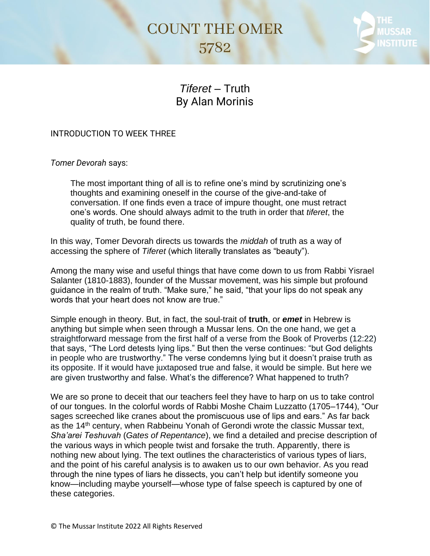## **COUNT THE OMER** 5782



## *Tiferet* – Truth By Alan Morinis

## INTRODUCTION TO WEEK THREE

*Tomer Devorah* says:

The most important thing of all is to refine one's mind by scrutinizing one's thoughts and examining oneself in the course of the give-and-take of conversation. If one finds even a trace of impure thought, one must retract one's words. One should always admit to the truth in order that *tiferet*, the quality of truth, be found there.

In this way, Tomer Devorah directs us towards the *middah* of truth as a way of accessing the sphere of *Tiferet* (which literally translates as "beauty").

Among the many wise and useful things that have come down to us from Rabbi Yisrael Salanter (1810-1883), founder of the Mussar movement, was his simple but profound guidance in the realm of truth. "Make sure," he said, "that your lips do not speak any words that your heart does not know are true."

Simple enough in theory. But, in fact, the soul-trait of **truth**, or *emet* in Hebrew is anything but simple when seen through a Mussar lens. On the one hand, we get a straightforward message from the first half of a verse from the Book of Proverbs (12:22) that says, "The Lord detests lying lips." But then the verse continues: "but God delights in people who are trustworthy." The verse condemns lying but it doesn't praise truth as its opposite. If it would have juxtaposed true and false, it would be simple. But here we are given trustworthy and false. What's the difference? What happened to truth?

We are so prone to deceit that our teachers feel they have to harp on us to take control of our tongues. In the colorful words of Rabbi Moshe Chaim Luzzatto (1705–1744), "Our sages screeched like cranes about the promiscuous use of lips and ears." As far back as the 14<sup>th</sup> century, when Rabbeinu Yonah of Gerondi wrote the classic Mussar text, *Sha'arei Teshuvah* (*Gates of Repentance*), we find a detailed and precise description of the various ways in which people twist and forsake the truth. Apparently, there is nothing new about lying. The text outlines the characteristics of various types of liars, and the point of his careful analysis is to awaken us to our own behavior. As you read through the nine types of liars he dissects, you can't help but identify someone you know—including maybe yourself—whose type of false speech is captured by one of these categories.